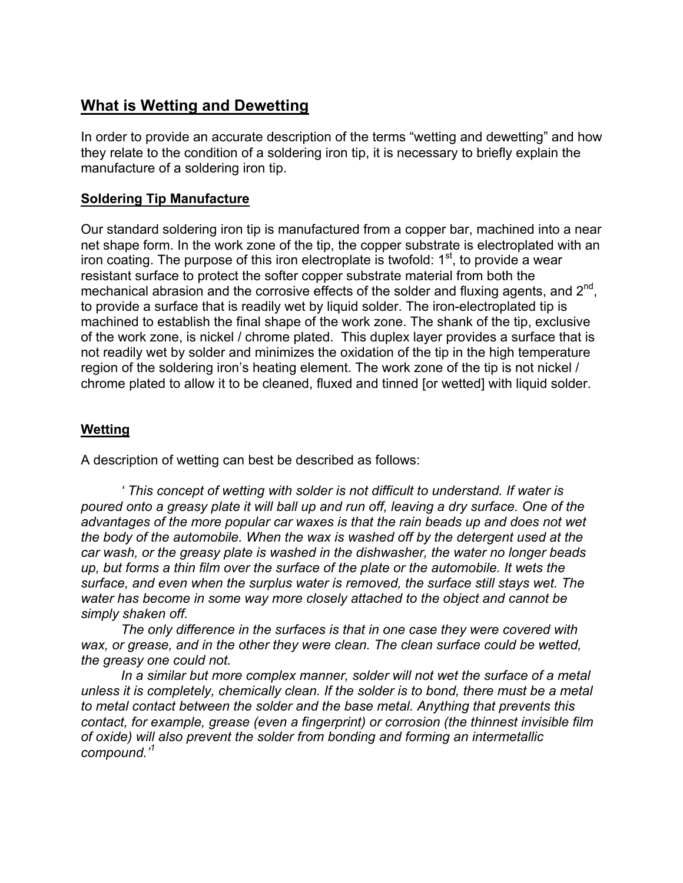## **What is Wetting and Dewetting**

In order to provide an accurate description of the terms "wetting and dewetting" and how they relate to the condition of a soldering iron tip, it is necessary to briefly explain the manufacture of a soldering iron tip.

## **Soldering Tip Manufacture**

Our standard soldering iron tip is manufactured from a copper bar, machined into a near net shape form. In the work zone of the tip, the copper substrate is electroplated with an iron coating. The purpose of this iron electroplate is twofold:  $1<sup>st</sup>$ , to provide a wear resistant surface to protect the softer copper substrate material from both the mechanical abrasion and the corrosive effects of the solder and fluxing agents, and 2<sup>nd</sup>, to provide a surface that is readily wet by liquid solder. The iron-electroplated tip is machined to establish the final shape of the work zone. The shank of the tip, exclusive of the work zone, is nickel / chrome plated. This duplex layer provides a surface that is not readily wet by solder and minimizes the oxidation of the tip in the high temperature region of the soldering iron's heating element. The work zone of the tip is not nickel / chrome plated to allow it to be cleaned, fluxed and tinned [or wetted] with liquid solder.

## **Wetting**

A description of wetting can best be described as follows:

*' This concept of wetting with solder is not difficult to understand. If water is poured onto a greasy plate it will ball up and run off, leaving a dry surface. One of the advantages of the more popular car waxes is that the rain beads up and does not wet the body of the automobile. When the wax is washed off by the detergent used at the car wash, or the greasy plate is washed in the dishwasher, the water no longer beads up, but forms a thin film over the surface of the plate or the automobile. It wets the surface, and even when the surplus water is removed, the surface still stays wet. The water has become in some way more closely attached to the object and cannot be simply shaken off.*

*The only difference in the surfaces is that in one case they were covered with wax, or grease, and in the other they were clean. The clean surface could be wetted, the greasy one could not.*

*In a similar but more complex manner, solder will not wet the surface of a metal unless it is completely, chemically clean. If the solder is to bond, there must be a metal to metal contact between the solder and the base metal. Anything that prevents this contact, for example, grease (even a fingerprint) or corrosion (the thinnest invisible film of oxide) will also prevent the solder from bonding and forming an intermetallic compound.'1*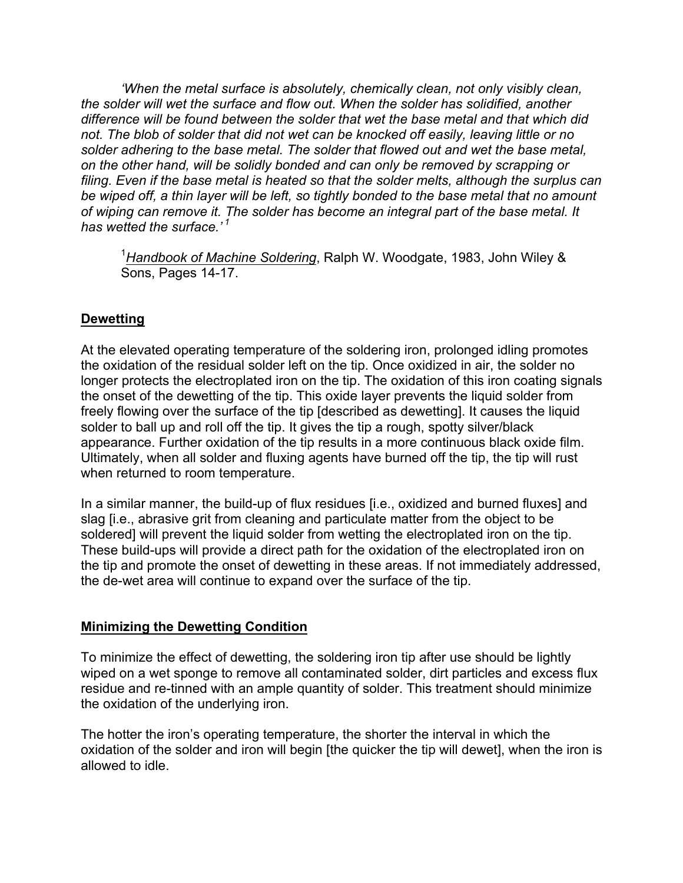*'When the metal surface is absolutely, chemically clean, not only visibly clean, the solder will wet the surface and flow out. When the solder has solidified, another difference will be found between the solder that wet the base metal and that which did not. The blob of solder that did not wet can be knocked off easily, leaving little or no solder adhering to the base metal. The solder that flowed out and wet the base metal, on the other hand, will be solidly bonded and can only be removed by scrapping or filing. Even if the base metal is heated so that the solder melts, although the surplus can be wiped off, a thin layer will be left, so tightly bonded to the base metal that no amount of wiping can remove it. The solder has become an integral part of the base metal. It has wetted the surface.' <sup>1</sup>*

<sup>1</sup>Handbook of Machine Soldering, Ralph W. Woodgate, 1983, John Wiley & Sons, Pages 14-17.

### **Dewetting**

At the elevated operating temperature of the soldering iron, prolonged idling promotes the oxidation of the residual solder left on the tip. Once oxidized in air, the solder no longer protects the electroplated iron on the tip. The oxidation of this iron coating signals the onset of the dewetting of the tip. This oxide layer prevents the liquid solder from freely flowing over the surface of the tip [described as dewetting]. It causes the liquid solder to ball up and roll off the tip. It gives the tip a rough, spotty silver/black appearance. Further oxidation of the tip results in a more continuous black oxide film. Ultimately, when all solder and fluxing agents have burned off the tip, the tip will rust when returned to room temperature.

In a similar manner, the build-up of flux residues [i.e., oxidized and burned fluxes] and slag [i.e., abrasive grit from cleaning and particulate matter from the object to be soldered] will prevent the liquid solder from wetting the electroplated iron on the tip. These build-ups will provide a direct path for the oxidation of the electroplated iron on the tip and promote the onset of dewetting in these areas. If not immediately addressed, the de-wet area will continue to expand over the surface of the tip.

### **Minimizing the Dewetting Condition**

To minimize the effect of dewetting, the soldering iron tip after use should be lightly wiped on a wet sponge to remove all contaminated solder, dirt particles and excess flux residue and re-tinned with an ample quantity of solder. This treatment should minimize the oxidation of the underlying iron.

The hotter the iron's operating temperature, the shorter the interval in which the oxidation of the solder and iron will begin [the quicker the tip will dewet], when the iron is allowed to idle.